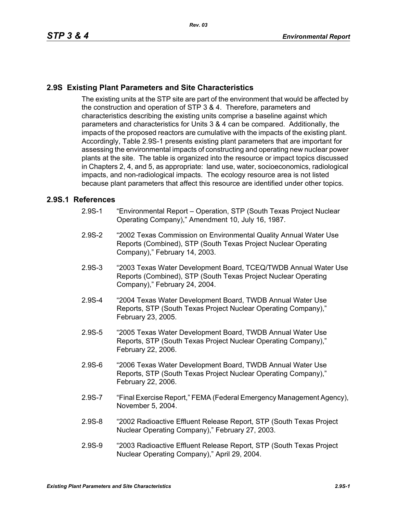## **2.9S Existing Plant Parameters and Site Characteristics**

The existing units at the STP site are part of the environment that would be affected by the construction and operation of STP 3 & 4. Therefore, parameters and characteristics describing the existing units comprise a baseline against which parameters and characteristics for Units 3 & 4 can be compared. Additionally, the impacts of the proposed reactors are cumulative with the impacts of the existing plant. Accordingly, Table 2.9S-1 presents existing plant parameters that are important for assessing the environmental impacts of constructing and operating new nuclear power plants at the site. The table is organized into the resource or impact topics discussed in Chapters 2, 4, and 5, as appropriate: land use, water, socioeconomics, radiological impacts, and non-radiological impacts. The ecology resource area is not listed because plant parameters that affect this resource are identified under other topics.

## **2.9S.1 References**

- 2.9S-1 "Environmental Report Operation, STP (South Texas Project Nuclear Operating Company)," Amendment 10, July 16, 1987.
- 2.9S-2 "2002 Texas Commission on Environmental Quality Annual Water Use Reports (Combined), STP (South Texas Project Nuclear Operating Company)," February 14, 2003.
- 2.9S-3 "2003 Texas Water Development Board, TCEQ/TWDB Annual Water Use Reports (Combined), STP (South Texas Project Nuclear Operating Company)," February 24, 2004.
- 2.9S-4 "2004 Texas Water Development Board, TWDB Annual Water Use Reports, STP (South Texas Project Nuclear Operating Company)," February 23, 2005.
- 2.9S-5 "2005 Texas Water Development Board, TWDB Annual Water Use Reports, STP (South Texas Project Nuclear Operating Company)," February 22, 2006.
- 2.9S-6 "2006 Texas Water Development Board, TWDB Annual Water Use Reports, STP (South Texas Project Nuclear Operating Company)," February 22, 2006.
- 2.9S-7 "Final Exercise Report," FEMA (Federal Emergency Management Agency), November 5, 2004.
- 2.9S-8 "2002 Radioactive Effluent Release Report, STP (South Texas Project Nuclear Operating Company)," February 27, 2003.
- 2.9S-9 "2003 Radioactive Effluent Release Report, STP (South Texas Project Nuclear Operating Company)," April 29, 2004.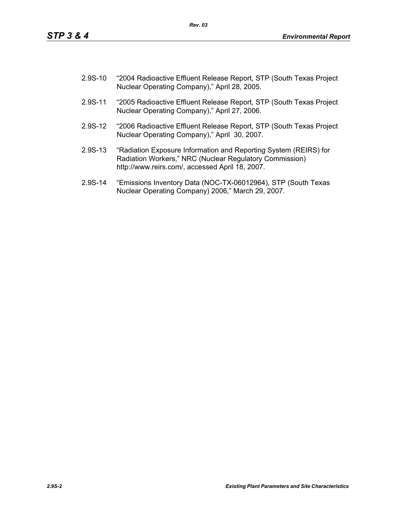- 2.9S-10 "2004 Radioactive Effluent Release Report, STP (South Texas Project Nuclear Operating Company)," April 28, 2005.
- 2.9S-11 "2005 Radioactive Effluent Release Report, STP (South Texas Project Nuclear Operating Company)," April 27, 2006.
- 2.9S-12 "2006 Radioactive Effluent Release Report, STP (South Texas Project Nuclear Operating Company)," April 30, 2007.
- 2.9S-13 "Radiation Exposure Information and Reporting System (REIRS) for Radiation Workers," NRC (Nuclear Regulatory Commission) http://www.reirs.com/, accessed April 18, 2007.
- 2.9S-14 "Emissions Inventory Data (NOC-TX-06012964), STP (South Texas Nuclear Operating Company) 2006," March 29, 2007.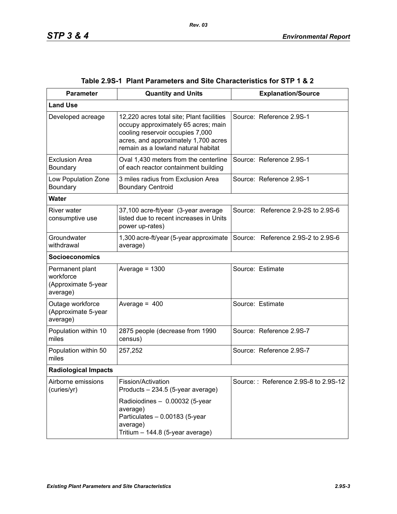| <b>Parameter</b>                                                | <b>Quantity and Units</b>                                                                                                                                                                           | <b>Explanation/Source</b>            |  |  |
|-----------------------------------------------------------------|-----------------------------------------------------------------------------------------------------------------------------------------------------------------------------------------------------|--------------------------------------|--|--|
| <b>Land Use</b>                                                 |                                                                                                                                                                                                     |                                      |  |  |
| Developed acreage                                               | 12,220 acres total site; Plant facilities<br>occupy approximately 65 acres; main<br>cooling reservoir occupies 7,000<br>acres, and approximately 1,700 acres<br>remain as a lowland natural habitat | Source: Reference 2.9S-1             |  |  |
| <b>Exclusion Area</b><br>Boundary                               | Oval 1,430 meters from the centerline<br>of each reactor containment building                                                                                                                       | Source: Reference 2.9S-1             |  |  |
| Low Population Zone<br>Boundary                                 | 3 miles radius from Exclusion Area<br><b>Boundary Centroid</b>                                                                                                                                      | Source: Reference 2.9S-1             |  |  |
| <b>Water</b>                                                    |                                                                                                                                                                                                     |                                      |  |  |
| River water<br>consumptive use                                  | 37,100 acre-ft/year (3-year average<br>listed due to recent increases in Units<br>power up-rates)                                                                                                   | Source: Reference 2.9-2S to 2.9S-6   |  |  |
| Groundwater<br>withdrawal                                       | 1,300 acre-ft/year (5-year approximate<br>average)                                                                                                                                                  | Source: Reference 2.9S-2 to 2.9S-6   |  |  |
| <b>Socioeconomics</b>                                           |                                                                                                                                                                                                     |                                      |  |  |
| Permanent plant<br>workforce<br>(Approximate 5-year<br>average) | Average = $1300$                                                                                                                                                                                    | Source: Estimate                     |  |  |
| Outage workforce<br>(Approximate 5-year<br>average)             | Average = $400$                                                                                                                                                                                     | Source: Estimate                     |  |  |
| Population within 10<br>miles                                   | 2875 people (decrease from 1990<br>census)                                                                                                                                                          | Source: Reference 2.9S-7             |  |  |
| Population within 50<br>miles                                   | 257,252                                                                                                                                                                                             | Source: Reference 2.9S-7             |  |  |
| <b>Radiological Impacts</b>                                     |                                                                                                                                                                                                     |                                      |  |  |
| Airborne emissions<br>(curies/yr)                               | Fission/Activation<br>Products - 234.5 (5-year average)                                                                                                                                             | Source:: Reference 2.9S-8 to 2.9S-12 |  |  |
|                                                                 | Radioiodines - 0.00032 (5-year<br>average)<br>Particulates - 0.00183 (5-year<br>average)<br>Tritium - 144.8 (5-year average)                                                                        |                                      |  |  |

|  | Table 2.9S-1   Plant Parameters and Site Characteristics for STP 1 & 2 |  |  |
|--|------------------------------------------------------------------------|--|--|
|--|------------------------------------------------------------------------|--|--|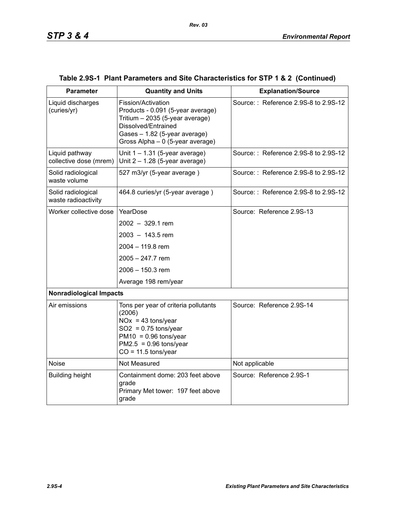| <b>Parameter</b>                          | <b>Quantity and Units</b>                                                                                                                                                              | <b>Explanation/Source</b>            |  |  |  |
|-------------------------------------------|----------------------------------------------------------------------------------------------------------------------------------------------------------------------------------------|--------------------------------------|--|--|--|
| Liquid discharges<br>(curies/yr)          | Fission/Activation<br>Products - 0.091 (5-year average)<br>Tritium - 2035 (5-year average)<br>Dissolved/Entrained<br>Gases - 1.82 (5-year average)<br>Gross Alpha - 0 (5-year average) | Source:: Reference 2.9S-8 to 2.9S-12 |  |  |  |
| Liquid pathway<br>collective dose (mrem)  | Unit $1 - 1.31$ (5-year average)<br>Unit $2 - 1.28$ (5-year average)                                                                                                                   | Source:: Reference 2.9S-8 to 2.9S-12 |  |  |  |
| Solid radiological<br>waste volume        | 527 m3/yr (5-year average)                                                                                                                                                             | Source:: Reference 2.9S-8 to 2.9S-12 |  |  |  |
| Solid radiological<br>waste radioactivity | 464.8 curies/yr (5-year average)                                                                                                                                                       | Source:: Reference 2.9S-8 to 2.9S-12 |  |  |  |
| Worker collective dose                    | YearDose                                                                                                                                                                               | Source: Reference 2.9S-13            |  |  |  |
|                                           | $2002 - 329.1$ rem                                                                                                                                                                     |                                      |  |  |  |
|                                           | $2003 - 143.5$ rem                                                                                                                                                                     |                                      |  |  |  |
|                                           | 2004 - 119.8 rem                                                                                                                                                                       |                                      |  |  |  |
|                                           | $2005 - 247.7$ rem                                                                                                                                                                     |                                      |  |  |  |
|                                           | $2006 - 150.3$ rem                                                                                                                                                                     |                                      |  |  |  |
|                                           | Average 198 rem/year                                                                                                                                                                   |                                      |  |  |  |
| <b>Nonradiological Impacts</b>            |                                                                                                                                                                                        |                                      |  |  |  |
| Air emissions                             | Tons per year of criteria pollutants<br>(2006)<br>$NOx = 43$ tons/year<br>$SO2 = 0.75$ tons/year<br>$PM10 = 0.96$ tons/year<br>$PM2.5 = 0.96$ tons/year<br>$CO = 11.5$ tons/year       | Source: Reference 2.9S-14            |  |  |  |
| <b>Noise</b>                              | Not Measured                                                                                                                                                                           | Not applicable                       |  |  |  |
| <b>Building height</b>                    | Containment dome: 203 feet above<br>grade<br>Primary Met tower: 197 feet above<br>grade                                                                                                | Source: Reference 2.9S-1             |  |  |  |

## **Table 2.9S-1 Plant Parameters and Site Characteristics for STP 1 & 2 (Continued)**